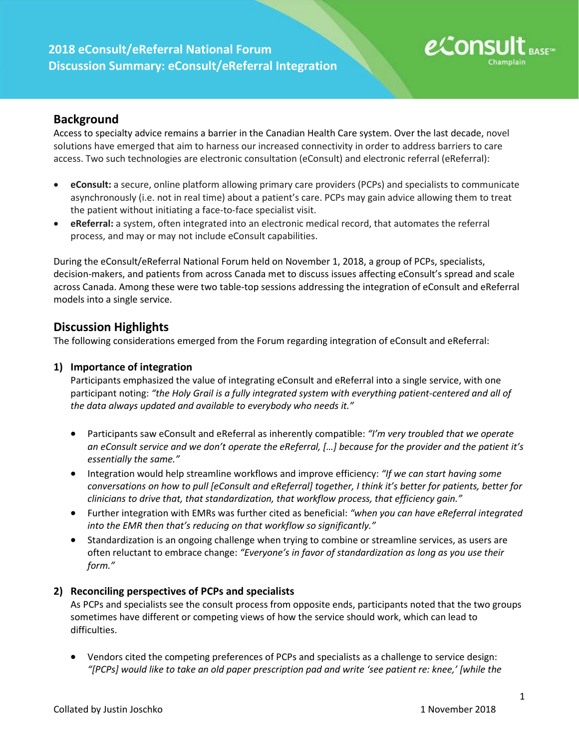# **2018 eConsult/eReferral National Forum Discussion Summary: eConsult/eReferral Integration**



# **Background**

Access to specialty advice remains a barrier in the Canadian Health Care system. Over the last decade, novel solutions have emerged that aim to harness our increased connectivity in order to address barriers to care access. Two such technologies are electronic consultation (eConsult) and electronic referral (eReferral):

- **eConsult:** a secure, online platform allowing primary care providers (PCPs) and specialists to communicate asynchronously (i.e. not in real time) about a patient's care. PCPs may gain advice allowing them to treat the patient without initiating a face-to-face specialist visit.
- **eReferral:** a system, often integrated into an electronic medical record, that automates the referral process, and may or may not include eConsult capabilities.

During the eConsult/eReferral National Forum held on November 1, 2018, a group of PCPs, specialists, decision-makers, and patients from across Canada met to discuss issues affecting eConsult's spread and scale across Canada. Among these were two table-top sessions addressing the integration of eConsult and eReferral models into a single service.

## **Discussion Highlights**

The following considerations emerged from the Forum regarding integration of eConsult and eReferral:

#### **1) Importance of integration**

Participants emphasized the value of integrating eConsult and eReferral into a single service, with one participant noting: *"the Holy Grail is a fully integrated system with everything patient-centered and all of the data always updated and available to everybody who needs it."*

- Participants saw eConsult and eReferral as inherently compatible: *"I'm very troubled that we operate an eConsult service and we don't operate the eReferral, […] because for the provider and the patient it's essentially the same."*
- Integration would help streamline workflows and improve efficiency: *"If we can start having some conversations on how to pull [eConsult and eReferral] together, I think it's better for patients, better for clinicians to drive that, that standardization, that workflow process, that efficiency gain."*
- Further integration with EMRs was further cited as beneficial: *"when you can have eReferral integrated into the EMR then that's reducing on that workflow so significantly."*
- Standardization is an ongoing challenge when trying to combine or streamline services, as users are often reluctant to embrace change: *"Everyone's in favor of standardization as long as you use their form."*

### **2) Reconciling perspectives of PCPs and specialists**

As PCPs and specialists see the consult process from opposite ends, participants noted that the two groups sometimes have different or competing views of how the service should work, which can lead to difficulties.

• Vendors cited the competing preferences of PCPs and specialists as a challenge to service design: *"[PCPs] would like to take an old paper prescription pad and write 'see patient re: knee,' [while the*